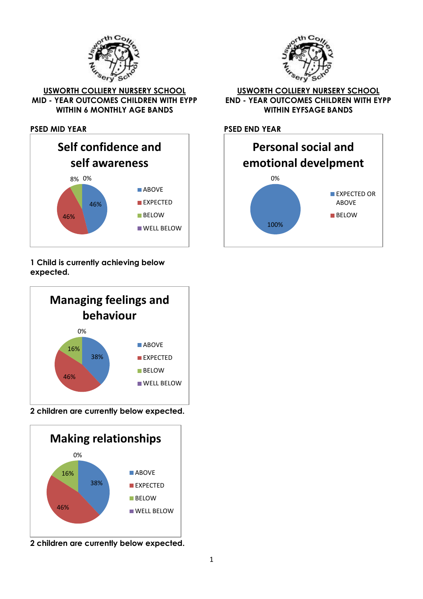



**USWORTH COLLIERY NURSERY SCHOOL MID - YEAR OUTCOMES CHILDREN WITH EYPP WITHIN 6 MONTHLY AGE BANDS**

**PSED MID YEAR** 



# **1 Child is currently achieving below expected.**



**2 children are currently below expected.**



**2 children are currently below expected.**

#### **USWORTH COLLIERY NURSERY SCHOOL END - YEAR OUTCOMES CHILDREN WITH EYPP WITHIN EYFSAGE BANDS**

**PSED END YEAR**

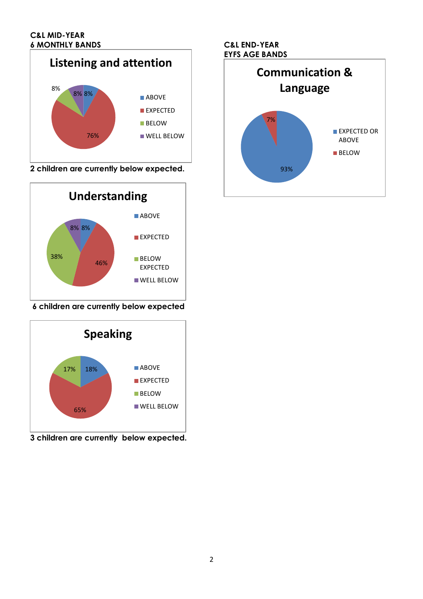

**2 children are currently below expected.**



**6 children are currently below expected**



**3 children are currently below expected.**

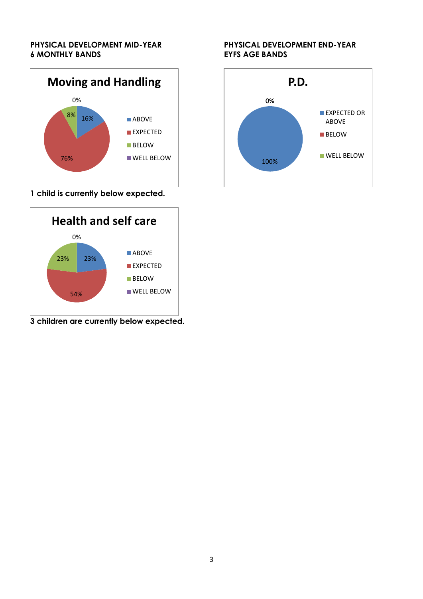#### **PHYSICAL DEVELOPMENT MID-YEAR 6 MONTHLY BANDS**



**1 child is currently below expected.**



**3 children are currently below expected.**

#### **PHYSICAL DEVELOPMENT END-YEAR EYFS AGE BANDS**

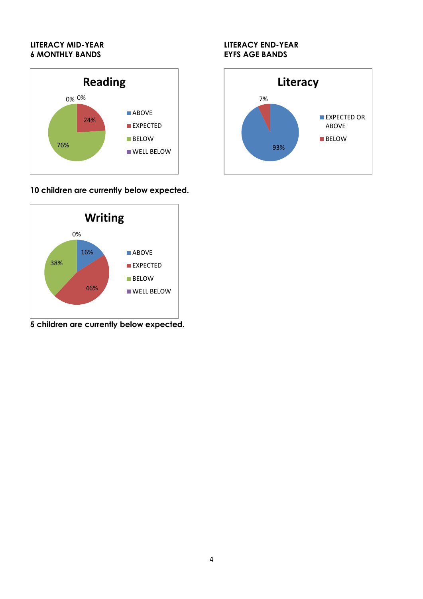## **LITERACY MID-YEAR 6 MONTHLY BANDS**



# **10 children are currently below expected.**



**5 children are currently below expected.**

## **LITERACY END-YEAR EYFS AGE BANDS**